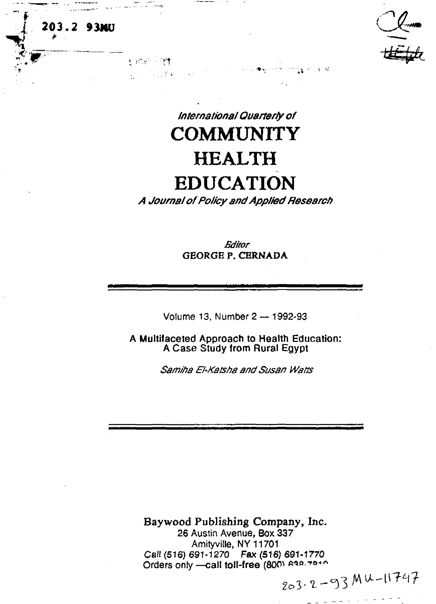

**International Quarterly of COMMUNITY HEALTH EDUCATION**

**A Journal of Policy and Applied Research**

*Editor* **GEORGE P. CERNADA**

Volume 13, Number 2 —1992-93

**A Multifaceted Approach to Health Education: A Case Study from Rural Egypt**

Samiha El-Katsha and Susan Wans

Baywood Publishing Company, Inc. 26 Austin Avenue, Box 337 Amityville, **NY** 11701 Call (516) 691 -1270 Fax (516) 691 -1770 Orders only **—call toll-free** (800<sup>)</sup> fissures only **AU**  $\ell$  of  $\ell$  MU - II  $747$ 

 $\omega_{\rm c} = \omega_{\rm c} + \omega_{\rm c} + \omega_{\rm c}$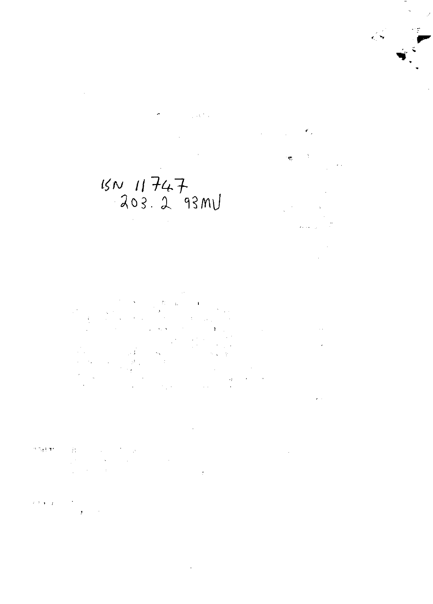$\sigma$  , and  $\sigma$  , and  $\sigma$ 

 $\sim$   $\sim$ 

 $\Delta \sim 10^4$ 

 $\sim 30$ 

 $\mathcal{L}^{\text{max}}$ 

# $\frac{15N}{203.2}$  93 mU

 $\label{eq:2} \begin{array}{c} \left\langle \frac{d\mathbf{r}}{d\mathbf{r}}\right\rangle_{\mathrm{H}}=\left\langle \frac{1}{\mathbf{r}}\right\rangle_{\mathrm{H}}=\left\langle \frac{1}{\mathbf{r}}\right\rangle_{\mathrm{H}}\left\langle \frac{1}{\mathbf{r}}\right\rangle_{\mathrm{H}}\left\langle \frac{1}{\mathbf{r}}\right\rangle_{\mathrm{H}}\left\langle \frac{1}{\mathbf{r}}\right\rangle_{\mathrm{H}}\left\langle \frac{1}{\mathbf{r}}\right\rangle_{\mathrm{H}}\left\langle \frac{1}{\mathbf{r}}\right\rangle_{\mathrm{H$  $\sim 10\, {\rm K}$  $\begin{split} \mathcal{L}(\mathcal{S}) & = \mathcal{S}(\mathcal{S}) \mathcal{S}(\mathcal{S}) \mathcal{S}(\mathcal{S}) \mathcal{S}(\mathcal{S}) \\ & = \mathcal{S}(\mathcal{S}(\mathcal{S})) \mathcal{S}(\mathcal{S}) \mathcal{S}(\mathcal{S}) \mathcal{S}(\mathcal{S}) \mathcal{S}(\mathcal{S}) \mathcal{S}(\mathcal{S}) \mathcal{S}(\mathcal{S}) \mathcal{S}(\mathcal{S}) \mathcal{S}(\mathcal{S}) \mathcal{S}(\mathcal{S}) \mathcal{S}(\mathcal{S}) \mathcal{S}(\mathcal{S})$  $\alpha = 0.25$  $\frac{d}{dt} \left( \frac{d}{dt} \right) = \frac{d}{dt} \left( \frac{d}{dt} \right)$ 

 $\begin{aligned} \mathbf{R}^{(1)} &= \mathbf{R}^{(1)} \left( \mathbf{r}^{\mathcal{A}} \right) \mathbf{r}^{\mathcal{A}} \mathbf{r}^{\mathcal{A}} \\ \mathbf{R}^{(2)} &= \mathbf{r}^{\mathcal{A}} \mathbf{r}^{\mathcal{A}} \mathbf{r}^{\mathcal{A}} \mathbf{r}^{\mathcal{A}} \mathbf{r}^{\mathcal{A}} \mathbf{r}^{\mathcal{A}} \mathbf{r}^{\mathcal{A}} \mathbf{r}^{\mathcal{A}} \mathbf{r}^{\mathcal{A}} \mathbf{r}^{\mathcal{A}} \mathbf{r}^$ 

 $\label{eq:2.1} \begin{split} \mathcal{F}^{(1)}(\mathbf{y},\mathbf{y}) &= \mathcal{F}^{(1)}(\mathbf{y},\mathbf{y}) \, , \\ \mathcal{F}^{(1)}(\mathbf{y},\mathbf{y}) &= \mathcal{F}^{(1)}(\mathbf{y},\mathbf{y}) \, , \end{split}$ 

 $\sim 10^{11}$  km  $^{-1}$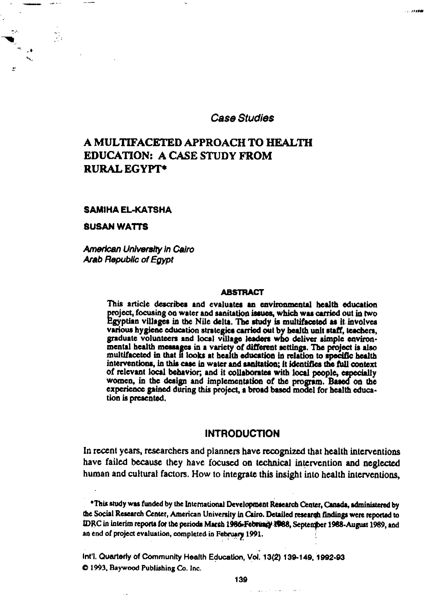# Case Studies

 $1.177770$ 

# **A MULTIFACETED APPROACH TO HEALTH EDUCATION: A CASE STUDY FROM RURAL EGYPT\***

#### **SAMIHA EL-KATSHA**

#### **SUSAN WATTS**

 $\tau$ 

**American University In Cairo Arab Republic of Egypt**

#### **ABSTRACT**

**This article describes »nd evaluates in environmental health education project, focusing oo water and sanitation issues, which was carried out in two Egyptian villages in the Nile delta. The study is multifaceted as It involves** various hygiene education strategies carried out by health unit staff, teachers, graduate volunteers and local village leaders who deliver simple environ**mental health messages in a variety of different settings. The project is also mulUfaceted in that it looks at health education in relation to specific health interventions, in this case in water and sanitation; it identifies the full context of relevant local behavior, and it collaborates with local people, especially women, in the design and implementation of the program. Based on the experience gained during this project, a broad based model for health education is presented.**

#### INTRODUCTION

**In recent years, researchers and planners have recognized that health interventions have failed because they have focused on technical intervention and neglected human and cultural factors. How to integrate this insight into health interventions,**

**•This study was funded by the International Development Research Center, Canada, administered by (he Social Research Center, American University in Cairo. Detailed research findings were reported to** IDRC in interim reports for the periods March 1986-February 1988, September 1988-August 1989, and **an end of project evaluation, completed in February 1991.** *(*

**Int'l, Quarterly of Community Health Education, Vol. 13(2) 139-149,1902-93 C 1993, Baywood Publishing Co. Inc.**

والقواري وتقويره والربيل والمتاري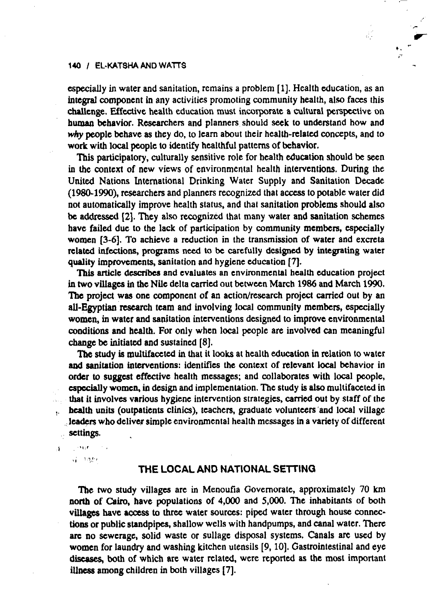**especially in water and sanitation, remains a problem [1]. Health education, as an integral component in any activities promoting community health, also faces this challenge. Effective health education must incorporate a cultural perspective on human behavior- Researchers and planners should seek to understand how and** *why* **people behave as they do, to learn about their health-related concepts, and to work with local people to identify healthful patterns of behavior.**

**This participatory, culturally sensitive role for health education should be seen in the context of new views of environmental health interventions. During the United Nations International Drinking Water Supply and Sanitation Decade (1980-1990), researchers and planners recognized that access to potable water did not automatically improve health status, and that sanitation problems should also be addressed [2]. They also recognized that many water and sanitation schemes have failed due to the lack of participation by community members, especially women [3-6]. To achieve a reduction in the transmission of water and excreta related infections, programs need to be carefully designed by integrating water quality improvements, sanitation and hygiene education [7].**

**This article describes and evaluates an environmental health education project in two villages in the Nile delta carried out between March 1986 and March 1990. The project was one component of an action/research project carried out by an all-Egyptian research team and involving local community members, especially women, in water and sanitation interventions designed to improve environmental conditions and health. For only when local people are involved can meaningful change be initiated and sustained [8].**

**The study is multifaceted in that it looks at health education in relation to water and sanitation interventions: identifies the context of relevant local behavior in order to suggest effective health messages; and collaborates with local people, especially women, in design and implementation. The study is also multifaceted in that it involves various hygiene intervention strategies, carried out by staff of the health units (outpatients clinics), teachers, graduate volunteers and local village leaders who deliver simple environmental health messages in a variety of different settings.**

 $\sqrt{1 - 3}$  557

 $\sim 1000$  km  $\sigma$  $\mathbf{I}$ 

#### **THE LOCAL AND NATIONAL SETTING**

**The two study villages are in Menoufia Oovemorate, approximately 70 km north of Cairo, have populations of 4,000 and 5,000. The inhabitants of both villages have access to three water sources: piped water through house connections or public standpipes, shallow wells with handpumps, and canal water. There are no sewerage, solid waste or sullage disposal systems, Canals are used by women for laundry and washing kitchen utensils [9,10]. Gastrointestinal and eye diseases, both of which are water related, were reported as the most important illness among children in both villages [7].**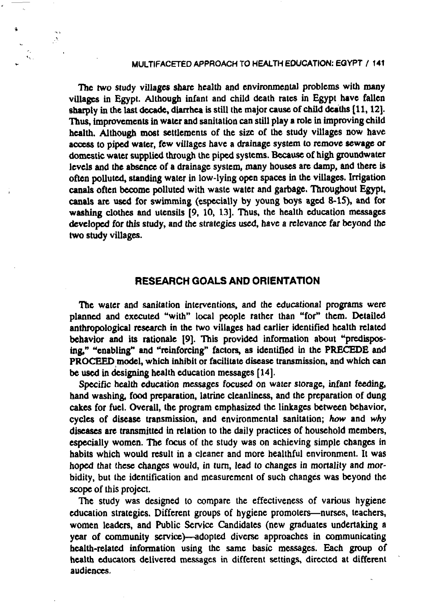**The** *two* **study villages share health and environmental problems with many villages in Egypt. Although infant and child death rates in Egypt have fallen sharply in the last decade, diarrhea is still the major cause of child deaths [11,12]. Thus, improvements in water and sanitation can still play a role in improving child health. Although most settlements of the size of the study villages now have access to piped water, few villages have a drainage system to remove sewage or domestic water supplied through the piped systems. Because of high groundwater levels and the absence of a drainage system, many houses are damp, and there is often polluted, standing water in low-lying open spaces in the villages. Irrigation canals often become polluted with waste water and garbage. Throughout Egypt, canals are used for swimming (especially by young boys aged 8-15), and for washing clothes and utensils [9, 10, 13]. Thus, the health education messages developed for this study, and the strategies used, have a relevance far beyond the two study villages.**

# **RESEARCH GOALS AND ORIENTATION**

**The water and sanitation interventions, and the educational programs were planned and executed "with" local people rather than "for" them. Detailed anthropological research in the two villages had earlier identified health related behavior and its rationale [9]. This provided information about "predisposing," "enabling" and "reinforcing" factors, as identified in the PRECEDE and PROCEED model, which inhibit or facilitate disease transmission, and which can be used in designing health education messages [14].**

**Specific health education messages focused on water storage, infant feeding, hand washing, food preparation, latrine cleanliness, and the preparation of dung cakes for fuel. Overall, the program emphasized the linkages between behavior, cycles of disease transmission, and environmental sanitation;** *how* **and** *why* **diseases are transmitted in relation to the daily practices of household members, especially women. The focus of the study was on achieving simple changes in habits which would result in a cleaner and more healthful environment. It was hoped that these changes would, in turn, lead to changes in mortality and morbidity, but the identification and measurement of such changes was beyond the scope of this project.**

**The study was designed to compare the effectiveness of various hygiene education strategies. Different groups of hygiene promoters—nurses, teachers, women leaders, and Public Service Candidates (new graduates undertaking a year of community service)—adopted diverse approaches in communicating health-related information using the same basic messages. Each group of health educators delivered messages in different settings, directed at different audiences.**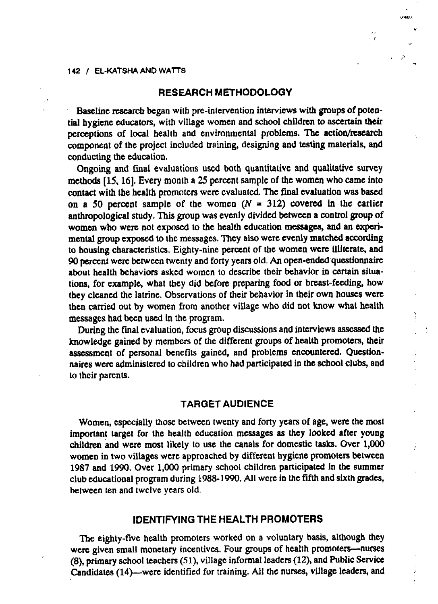### **RESEARCH METHODOLOGY**

**Section** 

**Baseline research began with pre-intervcntion interviews with groups of potential hygiene educators, with village women and school children to ascertain their perceptions of local health and environmental problems. The action/research component of the project included training, designing and testing materials, and conducting the education.**

**Ongoing and final evaluations used both quantitative and qualitative survey methods [15,16]. Every month a 25 percent sample of the women who came into contact with the health promoters were evaluated. The final evaluation was based on a 50 percent sample of the women** *(N* **• 312) covered in the earlier anthropological study. This group was evenly divided between a control group of women who were not exposed to the health education messages, and an experimental group exposed to the messages. They also were evenly matched according to housing characteristics. Eighty-nine percent of the women were illiterate, and 90 percent were between twenty and forty years old. An open-ended questionnaire about health behaviors asked women to describe their behavior in certain situations, for example, what they did before preparing food or breast-feeding, how they cleaned the latrine. Observations of their behavior in their own houses were then carried out by women from another village who did not know what health messages had been used in the program.**

**During the final evaluation, focus group discussions and interviews assessed the knowledge gained by members of the different groups of health promoters, their assessment of personal benefits gained, and problems encountered. Questionnaires were administered to children who had participated in the school clubs, and to their parents.**

#### **TARGET AUDIENCE**

**Women, especially those between twenty and forty years of age, were the most important target for the health education messages as they looked after young children and were most likely to use the canals for domestic tasks. Over 1,000 women in two villages were approached by different hygiene promoters between 1987 and 1990. Over 1,000 primary school children participated in the summer club educational program during 1988-1990. All were in the fifth and sixth grades, between ten and twelve years old.**

## **IDENTIFYING THE HEALTH PROMOTERS**

**The eighty-five health promoters worked on a voluntary basis, although they were given small monetary incentives. Four groups of health promoters—nurses (8), primary school teachers (51), village informal leaders (12), and Public Service Candidates (14)—were identified for training. All the nurses, village leaders, and**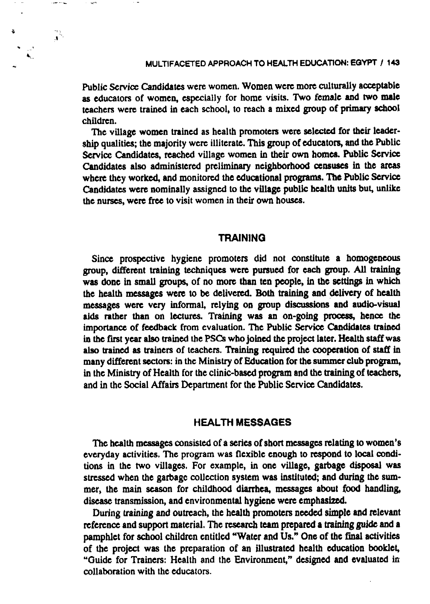**Public Service Candidates were women. Women were more culturally acceptable as educators of women, especially for home visits. Two female and two male teachers were trained in each school, to reach a mixed group of primary school children.**

 $\mathbb{R}^2$ 

**The village women trained as health promoters were selected for their leadership qualities; the majority were illiterate. This group of educators, and the Public Service Candidates, reached village women in their own homes. Public Service Candidates also administered preliminary neighborhood censuses in the areas where they worked, and monitored the educational programs. The Public Service Candidates were nominally assigned to the village public health units but, unlike the nurses, were free to visit women in their own houses.**

#### **TRAINING**

**Since prospective hygiene promoters did not constitute a homogeneous group, different training techniques were pursued for each group. All training was done in small groups, of no more than ten people, in the settings in which the health messages were to be delivered. Both training and delivery of health messages were very informal, relying on group discussions and audio-visual aids rather than on lectures. Training was an on-going process, hence the importance of feedback from evaluation. The Public Service Candidates trained in the first year also trained the PSCs who joined the project later. Health staff was also trained as trainers of teachers. Training required the cooperation of staff in many different sectors: in the Ministry of Education for the summer club program, in the Ministry of Health for the clinic-based program and the training of teachers, and in the Social Affairs Department for the Public Service Candidates.**

### **HEALTH MESSAGES**

**The health messages consisted of a series of short messages relating to women's everyday activities. The program was flexible enough to respond to local conditions in the two villages. For example, in one village, garbage disposal was stressed when the garbage collection system was instituted; and during the summer, the main season for childhood diarrhea, messages about food handling, disease transmission, and environmental hygiene were emphasized.**

**During training and outreach, the health promoters needed simple and relevant reference and support material. The research team prepared a training guide and a pamphlet for school children entitled "Water and Us." One of the final activities of the project was the preparation of an illustrated health education booklet, "Guide for Trainers: Health and the Environment," designed and evaluated in collaboration with the educators.**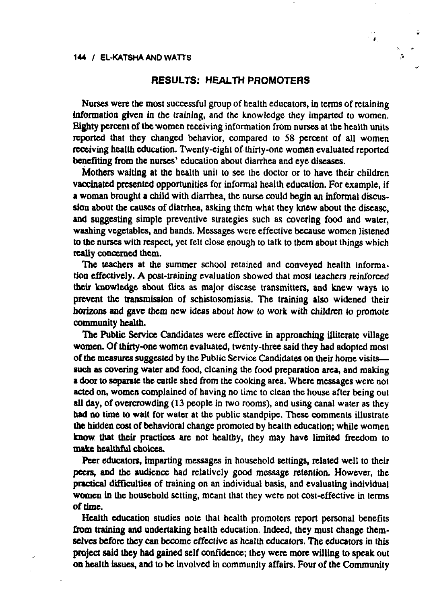# **RESULTS: HEALTH PROMOTERS**

ήÇ,

Nurses were the most successful group of health educators, in terms of retaining information given in the training, and the knowledge they imparted to women. Eighty percent of the women receiving information from nurses at the health units reported that they changed behavior, compared to 58 percent of all women receiving health education. Twenty-eight of thirty-one women evaluated reported benefiting from the nurses' education about diarrhea and eye diseases.

Mothers waiting at the health unit to see the doctor or to have their children vaccinated presented opportunities for infonnal health education. For example, if a woman brought a child with diarrhea, the nurse could begin an informal discussion about the causes of diarrhea, asking them what they knew about the disease, and suggesting simple preventive strategies such as covering food and water, washing vegetables, and hands. Messages were effective because women listened to the nurses with respect, yet felt close enough to talk to them about things which really concerned them.

The teachers at the summer school retained and conveyed health information effectively. A post-training evaluation showed that most teachers reinforced their knowledge about flies as major disease transmitters, and knew ways to prevent the transmission of schistosomiasis. The training also widened their horizons and gave them new ideas about how to work with children to promote community health.

The Public Service Candidates were effective in approaching illiterate village women. Of thirty-one women evaluated, twenty-three said they had adopted most of the measures suggested by the Public Service Candidates on their home visits such as covering water and food, cleaning the food preparation area, and making a door to separate the cattle shed from the cooking area. Where messages were not acted on, women complained of having no time to clean the house after being out all day, of overcrowding (13 people in two rooms), and using canal water as they had no time to wait for water at the public standpipe. These comments illustrate the hidden cost of behavioral change promoted by health education; while women know that their practices are not healthy, they may have limited freedom to **make** healthful choices.

Peer educators, imparting messages in household settings, related well to their peers, and the audience had relatively good message retention. However, the practical difficulties of training on an individual basis, and evaluating individual women in the household setting, meant that they were not cost-effective in terms of time.

Health education studies note that health promoters report personal benefits from training and undertaking health education. Indeed, they must change themselves before they can become effective as health educators. The educators in this project said they had gained self confidence; they were more willing to speak out on health issues, and to be involved in community affairs. Four of the Community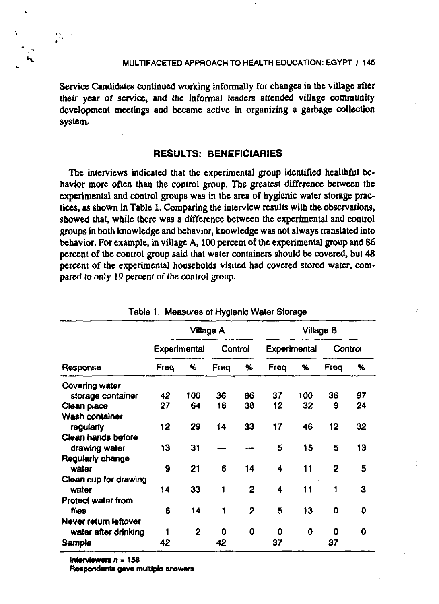**Service Candidates continued working informally for changes in the village after their year of service, and the informal leaders attended village community development meetings and became active in organizing a garbage collection system.**

#### **RESULTS: BENEFICIARIES**

**The interviews indicated that the experimental group identified healthful behavior more often than the control group. The greatest difference between the experimental and control groups was in the area of hygienic water storage practices, as shown in Table 1. Comparing the interview results with the observations, showed that, while there was a difference between the experimental and control groups in both knowledge and behavior, knowledge was not always translated into behavior. For example, in village A, 100 percent of the experimental group and 86 percent of the control group said that water containers should be covered, but 48 percent of the experimental households visited had covered stored water, compared to only 19 percent of (he control group.**

|                       | <b>Village A</b> |                   |         |    | Village B    |     |         |    |  |
|-----------------------|------------------|-------------------|---------|----|--------------|-----|---------|----|--|
| Response              | Experimental     |                   | Control |    | Experimental |     | Control |    |  |
|                       | Freq             | $\boldsymbol{\%}$ | Freq    | %  | Freq         | %   | Freq    | %  |  |
| Covering water        |                  |                   |         |    |              |     |         |    |  |
| storage container     | 42               | 100               | 36      | 86 | 37           | 100 | 36      | 97 |  |
| Clean place           | 27               | 64                | 16      | 38 | 12           | 32  | 9       | 24 |  |
| Wash container        |                  |                   |         |    |              |     |         |    |  |
| regularly             | 12               | 29                | 14      | 33 | 17           | 46  | 12      | 32 |  |
| Clean hands before    |                  |                   |         |    |              |     |         |    |  |
| drawing water         | 13               | 31                |         |    | 5            | 15  | 5       | 13 |  |
| Regularly change      |                  |                   |         |    |              |     |         |    |  |
| water                 | 9                | 21                | 6       | 14 | 4            | 11  | 2       | 5  |  |
| Clean cup for drawing |                  |                   |         |    |              |     |         |    |  |
| water                 | 14               | 33                | 1       | 2  | 4            | 11  |         | 3  |  |
| Protect water from    |                  |                   |         |    |              |     |         |    |  |
| flies                 | 6                | 14                | 1       | 2  | 5            | 13  | ٥       | O  |  |
| Never return leftover |                  |                   |         |    |              |     |         |    |  |
| water after drinking  |                  | 2                 | ٥       | ٥  | ٥            | ٥   | 0       | 0  |  |
| Sample                | 42               |                   | 42      |    | 37           |     | 37      |    |  |

Table 1. Measures of Hygienic Water Storage

Interviewers  $n = 158$ 

Respondents gave multiple answers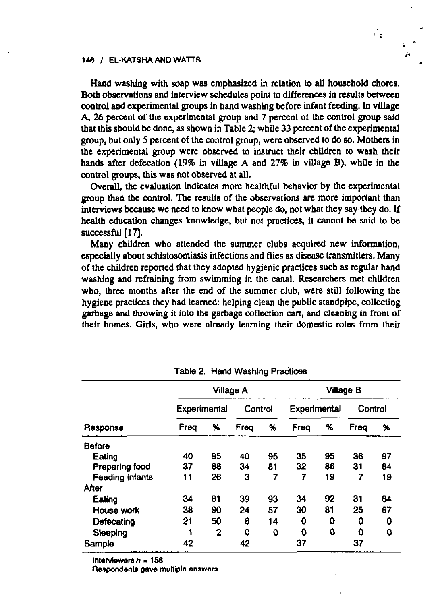**Hand washing with soap was emphasized in relation to all household chores. Both observations and interview schedules point to differences in results between control and experimental groups in hand washing before infant feeding. In village A, 26 percent of the experimental group and 7 percent of the control group said that this should be done, as shown in Table 2; while 33 percent of the experimental group, but only 5 percent of the control group, were observed to do so. Mothers in the experimental group were observed to instruct their children to wash their hands after defecation (19% in village A and 27% in village B), while in the control groups, this was not observed at all.**

45

**Overall, the evaluation indicates more healthful behavior by the experimental group than the control. The results of the observations are more important than interviews because we need to know what people do, not what they say they do. If health education changes knowledge, but not practices, it cannot be said to be successful [17].**

**Many children who attended the summer clubs acquired new information, especially about schistosomiasis infections and flies as disease transmitters. Many of the children reported that they adopted hygienic practices such as regular hand washing and refraining from swimming in the canal. Researchers met children who, three months after the end of the summer club, were still following the hygiene practices they had learned: helping clean the public standpipe, collecting garbage and throwing it into the garbage collection cart, and cleaning in front of their homes. Girls, who were already learning their domestic roles from their**

| Response        | Village A    |    |         |    | <b>Village B</b> |    |         |    |  |
|-----------------|--------------|----|---------|----|------------------|----|---------|----|--|
|                 | Experimental |    | Control |    | Experimental     |    | Control |    |  |
|                 | Freq         | %  | Frea    | %  | Freq             | %  | Frea    | %  |  |
| Before          |              |    |         |    |                  |    |         |    |  |
| Eating          | 40           | 95 | 40      | 95 | 35               | 95 | 36      | 97 |  |
| Preparing food  | 37           | 88 | 34      | 81 | 32               | 86 | 31      | 84 |  |
| Feeding infants | 11           | 26 | 3       | 7  | 7                | 19 | 7       | 19 |  |
| After           |              |    |         |    |                  |    |         |    |  |
| Eating          | 34           | 81 | 39      | 93 | 34               | 92 | 31      | 84 |  |
| House work      | 38           | 90 | 24      | 57 | 30               | 81 | 25      | 67 |  |
| Defecating      | 21           | 50 | 6       | 14 | 0                | 0  | 0       | 0  |  |
| Sleeping        |              | 2  | 0       | 0  | ٥                | ٥  | Ω       | ٥  |  |
| Sample          | 42           |    | 42      |    | 37               |    | 37      |    |  |

**Table 2. Hand Washing Practices**

 $Int$ erviewers  $n = 158$ 

**Respondents gave multiple answers**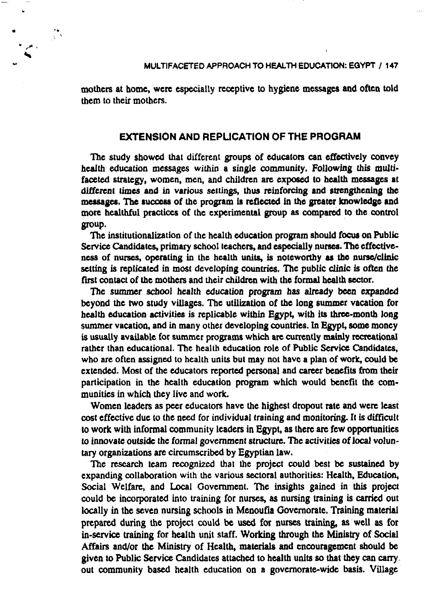**mothers at home, were especially receptive to hygiene messages and often told them to their mothers.**

 $\frac{\partial}{\partial x}$ 

## **EXTENSION AND REPLICATION OF THE PROGRAM**

**The study showed that different groups of educators can effectively convey health education messages within a single community. Following this multifaceted strategy, women, men, and children are exposed to health messages at different times and in various settings, thus reinforcing and strengthening the messages. The success of the program is reflected in the greater knowledge and more healthful practices of the experimental group as compared to the control group.**

**The institutionalization of the health education program should focus on Public Service Candidates, primary school teachers, and especially nurses. The effectiveness of nurses, operating in the health units, is noteworthy as the nurse/clinic setting is replicated in most developing countries. The public clinic is often the first contact of the mothers and their children with the formal health sector.**

**The summer school health education program has already been expanded beyond the two study villages. The utilization of the long summer vacation for health education activities is replicable within Egypt, with its three-month long summer vacation, and in many other developing countries. In Egypt, some money is usually available for summer programs which are currently mainly recreational rather than educational. The health education role of Public Service Candidates, who are often assigned to health units but may not have a plan of work, could be extended. Most of the educators reported personal and career benefits from their participation in the health education program which would benefit the communities in which they live and work.**

**Women leaders as peer educators have the highest dropout rate and were least cost effective due to the need for individual training and monitoring. It is difficult to work with informal community leaders in Egypt, as there are few opportunities to innovate outside the formal government structure. The activities of local voluntary organizations are circumscribed by Egyptian law.**

**The research team recognized that the project could best be sustained by expanding collaboration with the various sectoral authorities: Health, Education, Social Welfare, and Local Government. The insights gained in this project could be incorporated into training for nurses, as nursing training is carried out locally in the seven nursing schools in Menoufla Govemorate. Training material prepared during the project could be used for nurses training, as well as for in-service training for health unit staff. Working through the Ministry of Social Affairs and/or the Ministry of Health, materials and encouragement should be given to Public Service Candidates attached to health units so that they can carry, out community based health education on a govemorate-wide basis. Village**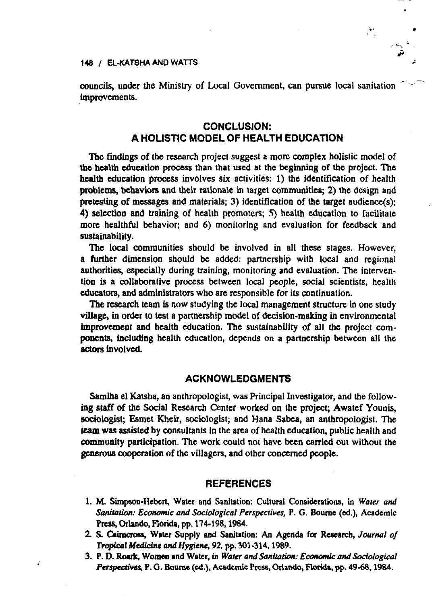councils, under the Ministry of Local Government, can pursue local sanitation improvements.

 $\mathcal{P}_\infty$ 

# **CONCLUSION: A HOLISTIC MODEL OF HEALTH EDUCATION**

**The findings of the research project suggest a more complex holistic model of the health education process than that used at the beginning of the project. The health education process involves six activities: 1) the identification of health problems, behaviors and their rationale in target communities; 2) the design and** pretesting of messages and materials; 3) identification of the target audience(s); **4) selection and training of health promoters; S) health education to facilitate more healthful behavior; and 6) monitoring and evaluation for feedback and sustainability.**

**The local communities should be involved in all these stages. However, a further dimension should be added: partnership with local and regional authorities, especially during training, monitoring and evaluation. The intervention is a collaborative process between local people, social scientists, health educators, and administrators who are responsible for its continuation.**

**The research team is now studying the local management structure in one study village, in order to test a partnership model of decision-making in environmental improvement and health education. The sustainability of all the project components, including health education, depends on a partnership between all the actors involved.**

### **ACKNOWLEDGMENTS**

**Samiha el Katsha, an anthropologist, was Principal Investigator, and the following staff of the Social Research Center worked on the project; Awatef Younis, sociologist; Esmet Kheir, sociologist; and Hana Sabea, an anthropologist. The team was assisted by consultants in the area of health education, public health and community participation. The work could not have been carried out without the generous cooperation of the villagers, and other concerned people.**

#### **REFERENCES**

- **1. M. Simpson-Hebcrt, Water and Sanitation: Cultural Considerations, in** *Water and Sanitation: Economic and Sociological Perspectives,* **P. G. Bourne (ed,), Academic Press, Orlando, Florida, pp. 174-198,1984.**
- **1 S. Cairocross, Water Supply and Sanitation: An Agenda for Research,** *Journal of Tropical Medicine and Hygiene, 92.* **pp. 301-314,1989.**
- **3. P. D. Roark, Women and Water, in** *Water and Sanitation; Economic and Sociological Perspectives,* **P. O. Bourne (ed.), Academic Press, Orlando, Florida, pp. 49-68,1984.**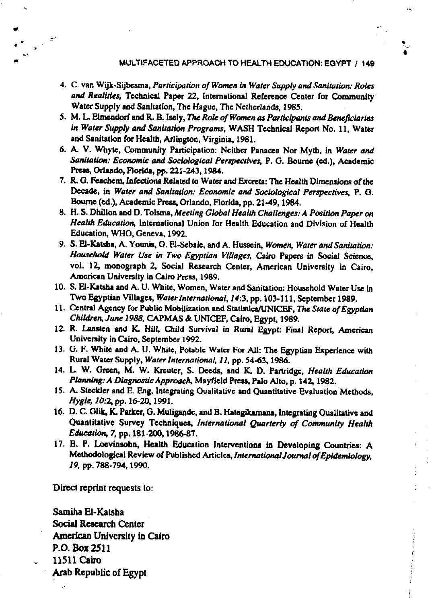- **4. C. van Wijk-Sijbcsma,** *Participation of Women in Water Supply and Sanitation: Roles and Realities,* **Technical Paper 22, International Reference Center for Community Water Supply and Sanitation, The Hague, The Netherlands, 1985.**
- **5. M. L. Elmendorf and R. B. Isely,** *The Role of Women as Participants and Beneficiaries in Water Supply and Sanitation Programs,* **WASH Technical Report No. 11, Water and Sanitation for Health, Arlington, Virginia, 1981.**
- **6. A. V. Whyte, Community Participation: Neither Panacea Nor Myth, in** *Water and Sanitation: Economic and Sociological Perspectives,* **P. G. Bourne (ed.), Academic Press, Orlando, Florida, pp. 221-243,1984.**
- **7. R. G. Feachem, Infections Related to Water and Excreta: The Health Dimensions of the Decade, in** *Water and Sanitation: Economic and Sociological Perspectives,* **P. G. Bourne (ed.), Academic Press, Orlando, Florida, pp. 21-49,1984.**
- **8. H. S. Dhillon and D. Tolsma,** *Meeting Global Health Challenges: A Position Paper on Health Education,* **International Union for Health Education and Division of Health Education, WHO, Geneva, 1992.**
- **9. S. El-Katsha, A. Younis, O. El-Sebaie, and A. Hussein,** *Women, Water and Sanitation: Household Water Use in Two Egyptian Villages,* **Cairo Papers in Social Science, vol. 12, monograph 2, Social Research Center, American University in Cairo, American University in Cairo Press, 1989.**
- **10. S. El-Katsha and A. U. While, Women, Water and Sanitation: Household Water Use in Two Egyptian Villages,** *Water International, 14:3,* **pp. 103-111, September 1989,**
- **11. Central Agency for Public Mobilization and Statistics/UNICEF,** *The State of Egyptian Children, June 1988,* **CAPMAS & UNICEF, Cairo, Egypt, 1989.**
- **12. R. Lansten and K. HiH, Child Survival in Rural Egypt: Final Report, American University in Cairo, September 1992.**
- **13. G. F. White and A. U. White, Potable Water For All: The Egyptian Experience with Rural Water Supply,** *Water International, 11,* **pp. 54-63,1986.**
- **14. L. W. Green, M. W. Kieuter, S. Deeds, and K. D. Partridge,** *Health Education Planning: A Diagnostic Approach,* **Mayficld Press, Palo Alto, p. 142,1982.**
- **15. A. Sleekier and E. Eng, Integrating Qualitative and Quantitative Evaluation Methods,** *Hygie, 10:2,* **pp. 16-20,1991.**
- **16. D. C. Glik, K. Parker, G. Muligandc, and B. Hategikamana, Integrating Qualitative and Quantitative Survey Techniques,** *International Quarterly of Community Health Education, 7,* **pp. 181-200,1986-87.**
- **17. B. P. Loevinsobn, Health Education Interventions in Developing Countries: A Methodological Review of Published Articles,** *InternationalJournal of Epidemiology, 19,* **pp. 788-794,1990.**

**Direct reprint requests to:**

 $\mathbb{R}^n$ 

**Samiba El-Katsha Social Research Center American University in Cairo P.O. Box 2511 11511 Cairo Arab Republic of Egypt**